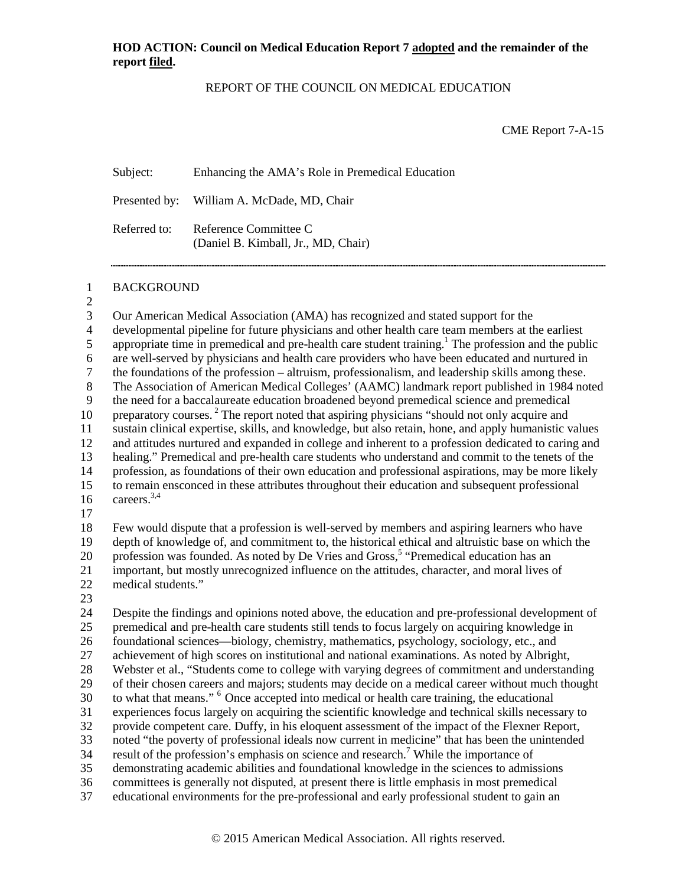## REPORT OF THE COUNCIL ON MEDICAL EDUCATION

CME Report 7-A-15

Subject: Enhancing the AMA's Role in Premedical Education

Presented by: William A. McDade, MD, Chair

Referred to: Reference Committee C (Daniel B. Kimball, Jr., MD, Chair)

1 BACKGROUND

 $\frac{2}{3}$  Our American Medical Association (AMA) has recognized and stated support for the developmental pipeline for future physicians and other health care team members at the earliest 5 appropriate time in premedical and pre-health care student training.<sup>1</sup> The profession and the public are well-served by physicians and health care providers who have been educated and nurtured in 7 the foundations of the profession – altruism, professionalism, and leadership skills among these.<br>8 The Association of American Medical Colleges' (AAMC) landmark report published in 1984 no 8 The Association of American Medical Colleges' (AAMC) landmark report published in 1984 noted<br>9 the need for a baccalaureate education broadened bevond premedical science and premedical the need for a baccalaureate education broadened beyond premedical science and premedical 10 preparatory courses.<sup>2</sup> The report noted that aspiring physicians "should not only acquire and sustain clinical expertise, skills, and knowledge, but also retain, hone, and apply humanistic values and attitudes nurtured and expanded in college and inherent to a profession dedicated to caring and healing." Premedical and pre-health care students who understand and commit to the tenets of the profession, as foundations of their own education and professional aspirations, may be more likely to remain ensconced in these attributes throughout their education and subsequent professional 16 careers.  $3,4$ 17 Few would dispute that a profession is well-served by members and aspiring learners who have depth of knowledge of, and commitment to, the historical ethical and altruistic base on which the profession was founded. As noted by De Vries and Gross,<sup>5</sup> "Premedical education has an important, but mostly unrecognized influence on the attitudes, character, and moral lives of medical students." 23 Despite the findings and opinions noted above, the education and pre-professional development of premedical and pre-health care students still tends to focus largely on acquiring knowledge in foundational sciences—biology, chemistry, mathematics, psychology, sociology, etc., and achievement of high scores on institutional and national examinations. As noted by Albright, Webster et al., "Students come to college with varying degrees of commitment and understanding of their chosen careers and majors; students may decide on a medical career without much thought 30 to what that means." <sup>6</sup> Once accepted into medical or health care training, the educational experiences focus largely on acquiring the scientific knowledge and technical skills necessary to provide competent care. Duffy, in his eloquent assessment of the impact of the Flexner Report, noted "the poverty of professional ideals now current in medicine" that has been the unintended 34 result of the profession's emphasis on science and research.<sup>7</sup> While the importance of demonstrating academic abilities and foundational knowledge in the sciences to admissions committees is generally not disputed, at present there is little emphasis in most premedical educational environments for the pre-professional and early professional student to gain an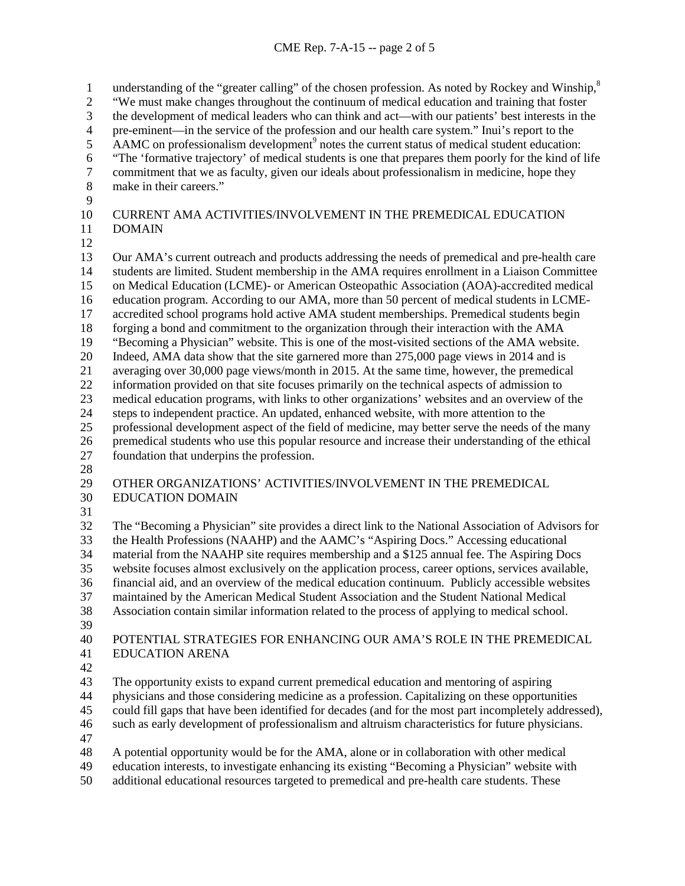1 understanding of the "greater calling" of the chosen profession. As noted by Rockey and Winship,<sup>8</sup> "We must make changes throughout the continuum of medical education and training that foster 3 the development of medical leaders who can think and act—with our patients' best interests in the pre-eminent—in the service of the profession and our health care system." Inui's report to the 4 pre-eminent—in the service of the profession and our health care system." Inui's report to the<br>5 AAMC on professionalism development<sup>9</sup> notes the current status of medical student education AAMC on professionalism development<sup>9</sup> notes the current status of medical student education: <sup>6</sup> "The 'formative trajectory' of medical students is one that prepares them poorly for the kind of life commitment that we as faculty, given our ideals about professionalism in medicine, hope they 7 commitment that we as faculty, given our ideals about professionalism in medicine, hope they make in their careers." make in their careers." CURRENT AMA ACTIVITIES/INVOLVEMENT IN THE PREMEDICAL EDUCATION DOMAIN 13 Our AMA's current outreach and products addressing the needs of premedical and pre-health care<br>14 students are limited. Student membership in the AMA requires enrollment in a Liaison Committee students are limited. Student membership in the AMA requires enrollment in a Liaison Committee

- on Medical Education (LCME)- or American Osteopathic Association (AOA)-accredited medical education program. According to our AMA, more than 50 percent of medical students in LCME-
- accredited school programs hold active AMA student memberships. Premedical students begin forging a bond and commitment to the organization through their interaction with the AMA
- "Becoming a Physician" website. This is one of the most-visited sections of the AMA website.
- 
- 20 Indeed, AMA data show that the site garnered more than 275,000 page views in 2014 and is averaging over 30,000 page views/month in 2015. At the same time, however, the premedical averaging over 30,000 page views/month in 2015. At the same time, however, the premedical
- information provided on that site focuses primarily on the technical aspects of admission to
- medical education programs, with links to other organizations' websites and an overview of the
- steps to independent practice. An updated, enhanced website, with more attention to the
- professional development aspect of the field of medicine, may better serve the needs of the many premedical students who use this popular resource and increase their understanding of the ethical foundation that underpins the profession.
- 

 OTHER ORGANIZATIONS' ACTIVITIES/INVOLVEMENT IN THE PREMEDICAL EDUCATION DOMAIN

 The "Becoming a Physician" site provides a direct link to the National Association of Advisors for the Health Professions (NAAHP) and the AAMC's "Aspiring Docs." Accessing educational material from the NAAHP site requires membership and a \$125 annual fee. The Aspiring Docs website focuses almost exclusively on the application process, career options, services available, financial aid, and an overview of the medical education continuum. Publicly accessible websites maintained by the American Medical Student Association and the Student National Medical Association contain similar information related to the process of applying to medical school.

 POTENTIAL STRATEGIES FOR ENHANCING OUR AMA'S ROLE IN THE PREMEDICAL EDUCATION ARENA

The opportunity exists to expand current premedical education and mentoring of aspiring

- physicians and those considering medicine as a profession. Capitalizing on these opportunities
- could fill gaps that have been identified for decades (and for the most part incompletely addressed),
- such as early development of professionalism and altruism characteristics for future physicians.
- 
- A potential opportunity would be for the AMA, alone or in collaboration with other medical
- education interests, to investigate enhancing its existing "Becoming a Physician" website with
- additional educational resources targeted to premedical and pre-health care students. These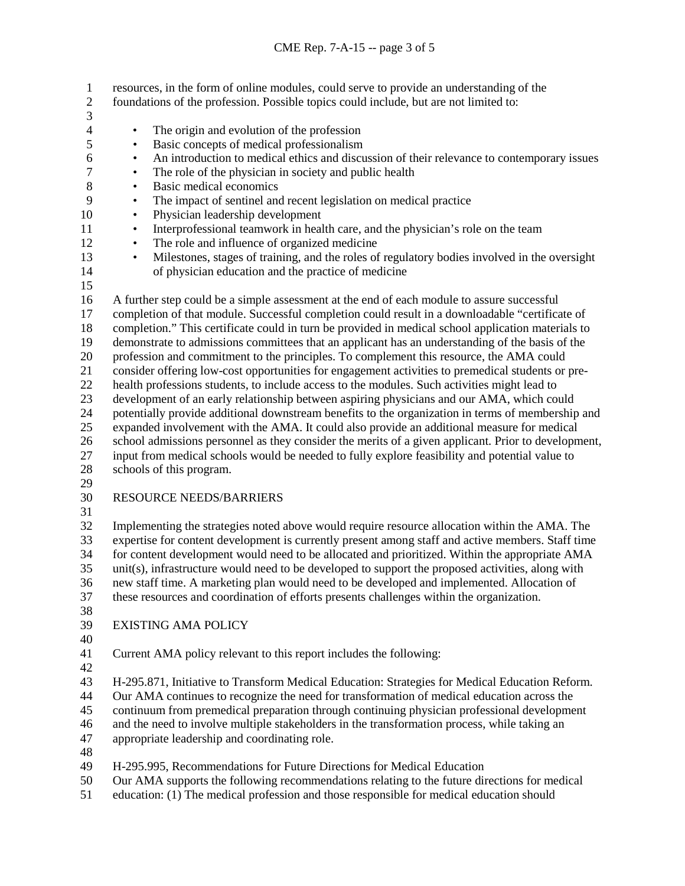- resources, in the form of online modules, could serve to provide an understanding of the
- foundations of the profession. Possible topics could include, but are not limited to:
- $\frac{3}{4}$
- 
- 4 The origin and evolution of the profession<br>5 Basic concepts of medical professionalism • Basic concepts of medical professionalism
- <sup>6</sup> An introduction to medical ethics and discussion of their relevance to contemporary issues<br><sup>7</sup> The role of the physician in society and public health
- <sup>7</sup> **•** The role of the physician in society and public health<br>8 **•** Basic medical economics
- Basic medical economics
- The impact of sentinel and recent legislation on medical practice
- Physician leadership development
- Interprofessional teamwork in health care, and the physician's role on the team
- 12 The role and influence of organized medicine
- <sup>13</sup> Milestones, stages of training, and the roles of regulatory bodies involved in the oversight of physician education and the practice of medicine of physician education and the practice of medicine
- 

 A further step could be a simple assessment at the end of each module to assure successful completion of that module. Successful completion could result in a downloadable "certificate of completion." This certificate could in turn be provided in medical school application materials to demonstrate to admissions committees that an applicant has an understanding of the basis of the 20 profession and commitment to the principles. To complement this resource, the AMA could<br>21 consider offering low-cost opportunities for engagement activities to premedical students or consider offering low-cost opportunities for engagement activities to premedical students or pre- health professions students, to include access to the modules. Such activities might lead to development of an early relationship between aspiring physicians and our AMA, which could potentially provide additional downstream benefits to the organization in terms of membership and expanded involvement with the AMA. It could also provide an additional measure for medical school admissions personnel as they consider the merits of a given applicant. Prior to development, input from medical schools would be needed to fully explore feasibility and potential value to schools of this program.

## RESOURCE NEEDS/BARRIERS

 Implementing the strategies noted above would require resource allocation within the AMA. The expertise for content development is currently present among staff and active members. Staff time for content development would need to be allocated and prioritized. Within the appropriate AMA unit(s), infrastructure would need to be developed to support the proposed activities, along with new staff time. A marketing plan would need to be developed and implemented. Allocation of these resources and coordination of efforts presents challenges within the organization.

EXISTING AMA POLICY

Current AMA policy relevant to this report includes the following:

H-295.871, Initiative to Transform Medical Education: Strategies for Medical Education Reform.

Our AMA continues to recognize the need for transformation of medical education across the

continuum from premedical preparation through continuing physician professional development

and the need to involve multiple stakeholders in the transformation process, while taking an

appropriate leadership and coordinating role.

H-295.995, Recommendations for Future Directions for Medical Education

- Our AMA supports the following recommendations relating to the future directions for medical
- education: (1) The medical profession and those responsible for medical education should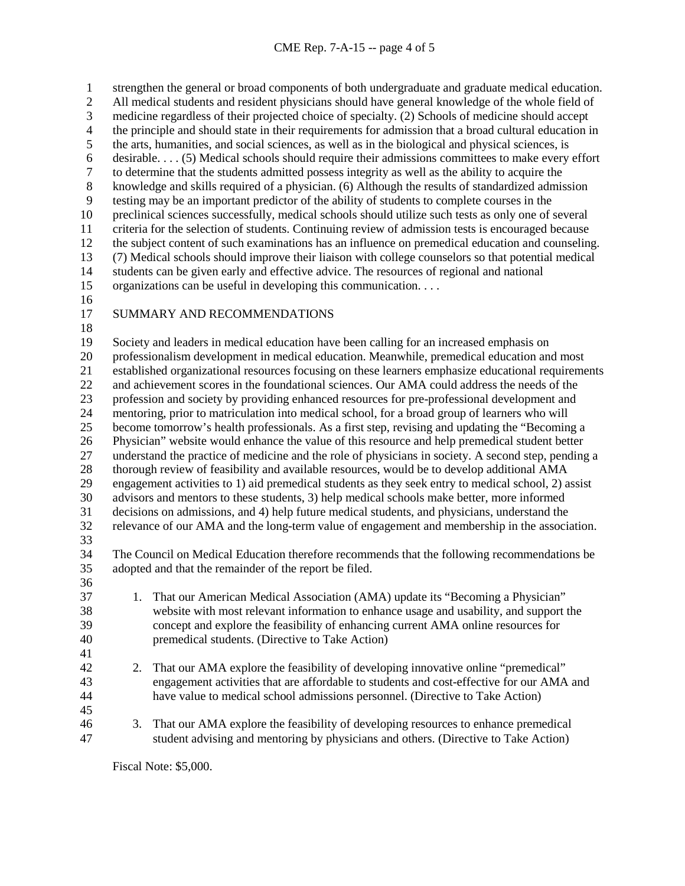strengthen the general or broad components of both undergraduate and graduate medical education. All medical students and resident physicians should have general knowledge of the whole field of 3 medicine regardless of their projected choice of specialty. (2) Schools of medicine should accept<br>4 the principle and should state in their requirements for admission that a broad cultural education i 4 the principle and should state in their requirements for admission that a broad cultural education in<br>5 the arts, humanities, and social sciences, as well as in the biological and physical sciences, is the arts, humanities, and social sciences, as well as in the biological and physical sciences, is desirable. . . . (5) Medical schools should require their admissions committees to make every effort to determine that the students admitted possess integrity as well as the ability to acquire the knowledge and skills required of a physician. (6) Although the results of standardized admission testing may be an important predictor of the ability of students to complete courses in the preclinical sciences successfully, medical schools should utilize such tests as only one of several criteria for the selection of students. Continuing review of admission tests is encouraged because the subject content of such examinations has an influence on premedical education and counseling. (7) Medical schools should improve their liaison with college counselors so that potential medical students can be given early and effective advice. The resources of regional and national organizations can be useful in developing this communication. . . .

- 
- 
- SUMMARY AND RECOMMENDATIONS

 Society and leaders in medical education have been calling for an increased emphasis on 20 professionalism development in medical education. Meanwhile, premedical education and most<br>21 established organizational resources focusing on these learners emphasize educational requireme established organizational resources focusing on these learners emphasize educational requirements and achievement scores in the foundational sciences. Our AMA could address the needs of the profession and society by providing enhanced resources for pre-professional development and mentoring, prior to matriculation into medical school, for a broad group of learners who will become tomorrow's health professionals. As a first step, revising and updating the "Becoming a Physician" website would enhance the value of this resource and help premedical student better understand the practice of medicine and the role of physicians in society. A second step, pending a thorough review of feasibility and available resources, would be to develop additional AMA engagement activities to 1) aid premedical students as they seek entry to medical school, 2) assist advisors and mentors to these students, 3) help medical schools make better, more informed decisions on admissions, and 4) help future medical students, and physicians, understand the relevance of our AMA and the long-term value of engagement and membership in the association. The Council on Medical Education therefore recommends that the following recommendations be adopted and that the remainder of the report be filed. 1. That our American Medical Association (AMA) update its "Becoming a Physician" website with most relevant information to enhance usage and usability, and support the concept and explore the feasibility of enhancing current AMA online resources for premedical students. (Directive to Take Action) 

- 2. That our AMA explore the feasibility of developing innovative online "premedical" engagement activities that are affordable to students and cost-effective for our AMA and have value to medical school admissions personnel. (Directive to Take Action)
- 
- 3. That our AMA explore the feasibility of developing resources to enhance premedical student advising and mentoring by physicians and others. (Directive to Take Action)

Fiscal Note: \$5,000.